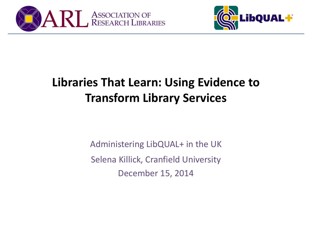



#### **Libraries That Learn: Using Evidence to Transform Library Services**

Administering LibQUAL+ in the UK Selena Killick, Cranfield University December 15, 2014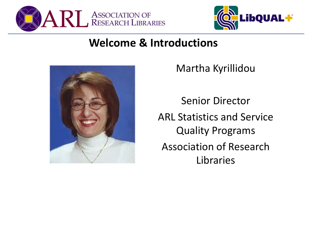



#### **Welcome & Introductions**



Martha Kyrillidou

Senior Director ARL Statistics and Service Quality Programs Association of Research Libraries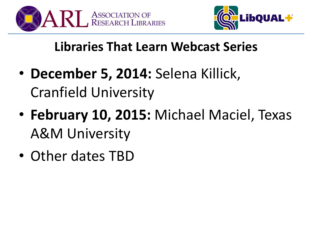



#### **Libraries That Learn Webcast Series**

- **December 5, 2014:** Selena Killick, Cranfield University
- **February 10, 2015:** Michael Maciel, Texas A&M University
- Other dates TBD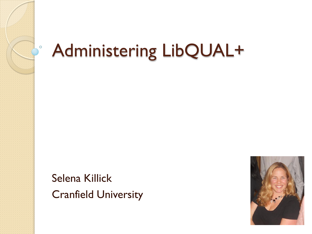

#### Administering LibQUAL+

Selena Killick Cranfield University

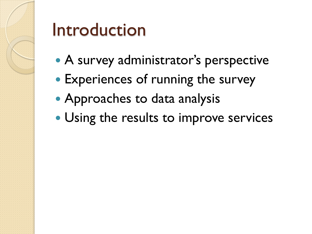

#### Introduction

- A survey administrator's perspective
- Experiences of running the survey
- Approaches to data analysis
- Using the results to improve services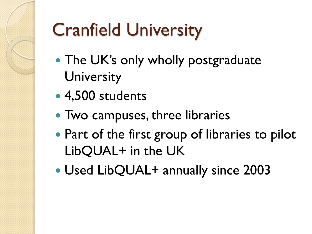## Cranfield University

- The UK's only wholly postgraduate **University**
- 4,500 students
- Two campuses, three libraries
- Part of the first group of libraries to pilot LibQUAL+ in the UK
- Used LibQUAL+ annually since 2003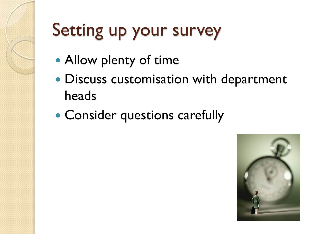#### Setting up your survey

- Allow plenty of time
- Discuss customisation with department heads
- Consider questions carefully

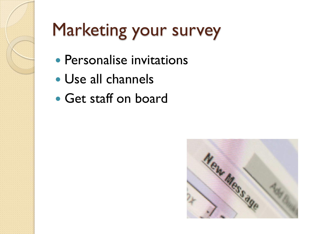### Marketing your survey

- Personalise invitations
- Use all channels
- Get staff on board

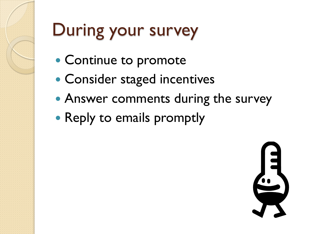#### During your survey

- Continue to promote
- Consider staged incentives
- Answer comments during the survey
- Reply to emails promptly

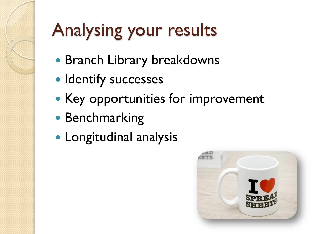# Analysing your results

- Branch Library breakdowns
- Identify successes
- Key opportunities for improvement
- Benchmarking
- Longitudinal analysis

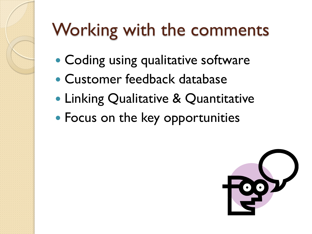### Working with the comments

- Coding using qualitative software
- Customer feedback database
- Linking Qualitative & Quantitative
- Focus on the key opportunities

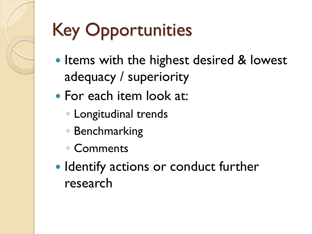# Key Opportunities

- Items with the highest desired & lowest adequacy / superiority
- For each item look at:
	- Longitudinal trends
	- Benchmarking
	- Comments
- Identify actions or conduct further research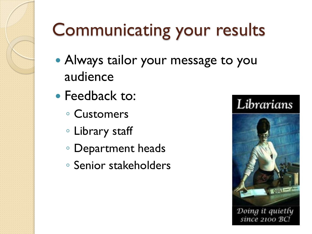#### Communicating your results

- Always tailor your message to you audience
- Feedback to:
	- Customers
	- Library staff
	- Department heads
	- Senior stakeholders



Doing it quietly since 2100 BC.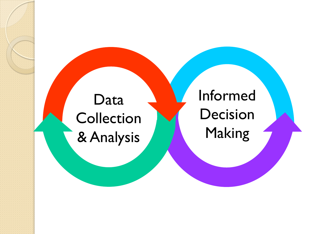#### Data **Collection** & Analysis

Informed Decision Making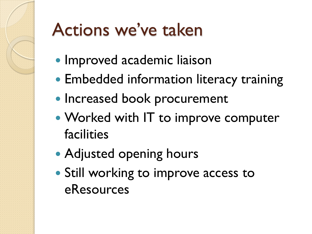### Actions we've taken

- Improved academic liaison
- Embedded information literacy training
- Increased book procurement
- Worked with IT to improve computer facilities
- Adjusted opening hours
- Still working to improve access to eResources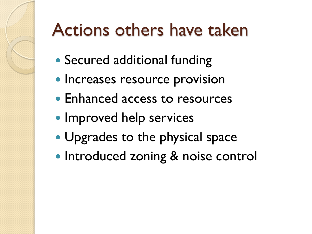#### Actions others have taken

- Secured additional funding
- Increases resource provision
- Enhanced access to resources
- Improved help services
- Upgrades to the physical space
- Introduced zoning & noise control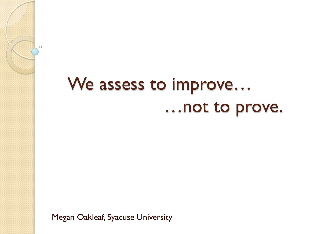#### We assess to improve… …not to prove.

Megan Oakleaf, Syacuse University

 $\circ$